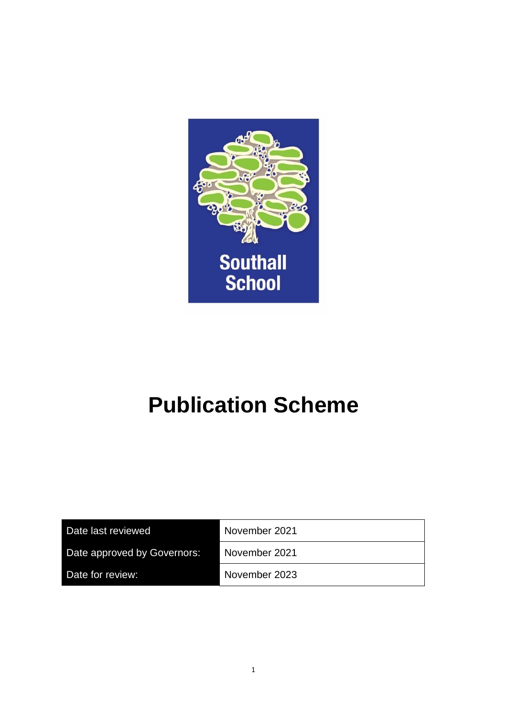

# **Publication Scheme**

| Date last reviewed          | November 2021 |
|-----------------------------|---------------|
| Date approved by Governors: | November 2021 |
| Date for review:            | November 2023 |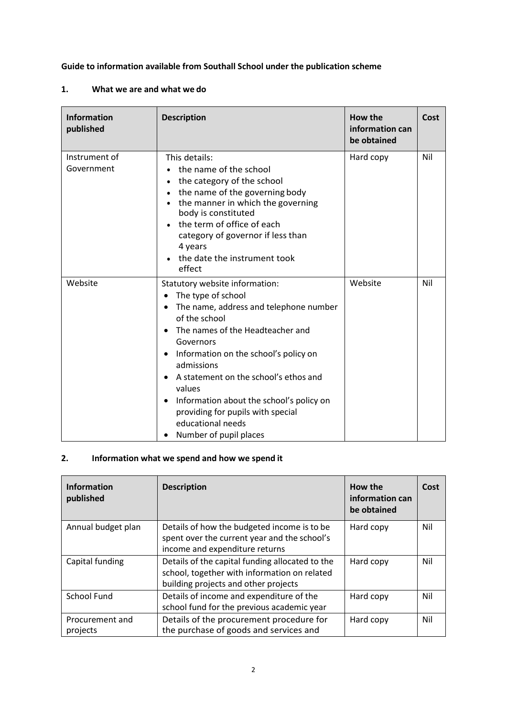**Guide to information available from Southall School under the publication scheme**

#### **1. What we are and what we do**

| <b>Information</b><br>published | <b>Description</b>                                                                                                                                                                                                                                                                                                                                                                                                                                                       | How the<br>information can<br>be obtained | Cost |
|---------------------------------|--------------------------------------------------------------------------------------------------------------------------------------------------------------------------------------------------------------------------------------------------------------------------------------------------------------------------------------------------------------------------------------------------------------------------------------------------------------------------|-------------------------------------------|------|
| Instrument of<br>Government     | This details:<br>the name of the school<br>the category of the school<br>the name of the governing body<br>the manner in which the governing<br>body is constituted<br>the term of office of each<br>category of governor if less than<br>4 years<br>the date the instrument took<br>effect                                                                                                                                                                              | Hard copy                                 | Nil  |
| Website                         | Statutory website information:<br>The type of school<br>٠<br>The name, address and telephone number<br>٠<br>of the school<br>The names of the Headteacher and<br>$\bullet$<br>Governors<br>Information on the school's policy on<br>$\bullet$<br>admissions<br>A statement on the school's ethos and<br>$\bullet$<br>values<br>Information about the school's policy on<br>$\bullet$<br>providing for pupils with special<br>educational needs<br>Number of pupil places | Website                                   | Nil  |

# **2. Information what we spend and how we spend it**

| <b>Information</b><br>published | <b>Description</b>                                                                                                                      | How the<br>information can<br>be obtained | Cost |
|---------------------------------|-----------------------------------------------------------------------------------------------------------------------------------------|-------------------------------------------|------|
| Annual budget plan              | Details of how the budgeted income is to be<br>spent over the current year and the school's<br>income and expenditure returns           | Hard copy                                 | Nil  |
| Capital funding                 | Details of the capital funding allocated to the<br>school, together with information on related<br>building projects and other projects | Hard copy                                 | Nil  |
| <b>School Fund</b>              | Details of income and expenditure of the<br>school fund for the previous academic year                                                  | Hard copy                                 | Nil  |
| Procurement and<br>projects     | Details of the procurement procedure for<br>the purchase of goods and services and                                                      | Hard copy                                 | Nil  |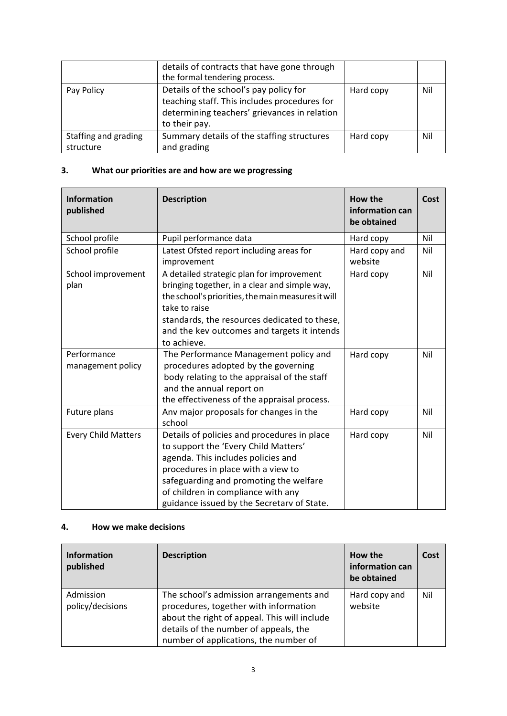|                                   | details of contracts that have gone through<br>the formal tendering process.                                                                            |           |     |
|-----------------------------------|---------------------------------------------------------------------------------------------------------------------------------------------------------|-----------|-----|
| Pay Policy                        | Details of the school's pay policy for<br>teaching staff. This includes procedures for<br>determining teachers' grievances in relation<br>to their pay. | Hard copy | Nil |
| Staffing and grading<br>structure | Summary details of the staffing structures<br>and grading                                                                                               | Hard copy | Nil |

# **3. What our priorities are and how are we progressing**

| <b>Information</b><br>published  | <b>Description</b>                                                                                                                                                                                                                                                                            | How the<br>information can<br>be obtained | Cost |
|----------------------------------|-----------------------------------------------------------------------------------------------------------------------------------------------------------------------------------------------------------------------------------------------------------------------------------------------|-------------------------------------------|------|
| School profile                   | Pupil performance data                                                                                                                                                                                                                                                                        | Hard copy                                 | Nil  |
| School profile                   | Latest Ofsted report including areas for<br>improvement                                                                                                                                                                                                                                       | Hard copy and<br>website                  | Nil  |
| School improvement<br>plan       | A detailed strategic plan for improvement<br>bringing together, in a clear and simple way,<br>the school's priorities, the main measures it will<br>take to raise<br>standards, the resources dedicated to these,<br>and the kev outcomes and targets it intends<br>to achieve.               | Hard copy                                 | Nil  |
| Performance<br>management policy | The Performance Management policy and<br>procedures adopted by the governing<br>body relating to the appraisal of the staff<br>and the annual report on<br>the effectiveness of the appraisal process.                                                                                        | Hard copy                                 | Nil  |
| Future plans                     | Anv major proposals for changes in the<br>school                                                                                                                                                                                                                                              | Hard copy                                 | Nil  |
| <b>Every Child Matters</b>       | Details of policies and procedures in place<br>to support the 'Every Child Matters'<br>agenda. This includes policies and<br>procedures in place with a view to<br>safeguarding and promoting the welfare<br>of children in compliance with any<br>guidance issued by the Secretarv of State. | Hard copy                                 | Nil  |

#### **4. How we make decisions**

| <b>Information</b><br>published | <b>Description</b>                                                                                                                                                                                                 | How the<br>information can<br>be obtained | Cost |
|---------------------------------|--------------------------------------------------------------------------------------------------------------------------------------------------------------------------------------------------------------------|-------------------------------------------|------|
| Admission<br>policy/decisions   | The school's admission arrangements and<br>procedures, together with information<br>about the right of appeal. This will include<br>details of the number of appeals, the<br>number of applications, the number of | Hard copy and<br>website                  | Nil  |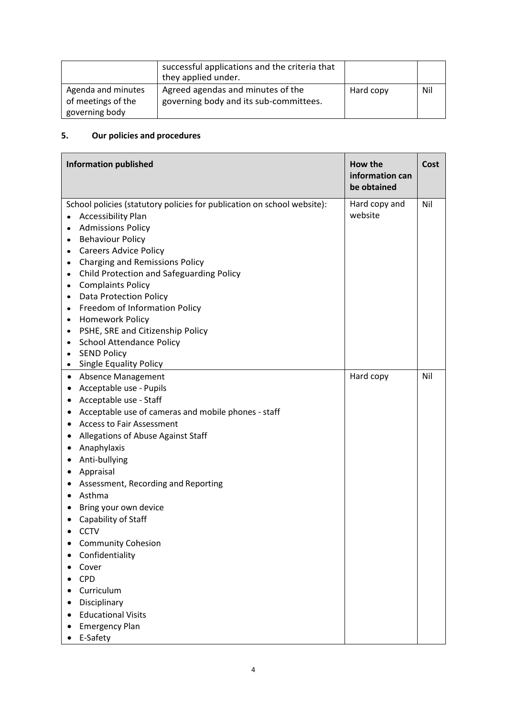|                                                            | successful applications and the criteria that<br>they applied under.        |           |     |
|------------------------------------------------------------|-----------------------------------------------------------------------------|-----------|-----|
| Agenda and minutes<br>of meetings of the<br>governing body | Agreed agendas and minutes of the<br>governing body and its sub-committees. | Hard copy | Nil |

# **5. Our policies and procedures**

| <b>Information published</b>                                                                                                                                                                                                                                                                                                                                                                                                                                                                                                                                                                                                                                                                                          | How the<br>information can<br>be obtained | Cost |
|-----------------------------------------------------------------------------------------------------------------------------------------------------------------------------------------------------------------------------------------------------------------------------------------------------------------------------------------------------------------------------------------------------------------------------------------------------------------------------------------------------------------------------------------------------------------------------------------------------------------------------------------------------------------------------------------------------------------------|-------------------------------------------|------|
| School policies (statutory policies for publication on school website):<br><b>Accessibility Plan</b><br>$\bullet$<br><b>Admissions Policy</b><br>$\bullet$<br><b>Behaviour Policy</b><br>$\bullet$<br><b>Careers Advice Policy</b><br>$\bullet$<br><b>Charging and Remissions Policy</b><br>$\bullet$<br>Child Protection and Safeguarding Policy<br>$\bullet$<br><b>Complaints Policy</b><br>$\bullet$<br><b>Data Protection Policy</b><br>$\bullet$<br>Freedom of Information Policy<br>$\bullet$<br>Homework Policy<br>$\bullet$<br>PSHE, SRE and Citizenship Policy<br>$\bullet$<br><b>School Attendance Policy</b><br>$\bullet$<br><b>SEND Policy</b><br>$\bullet$<br><b>Single Equality Policy</b><br>$\bullet$ | Hard copy and<br>website                  | Nil  |
| Absence Management<br>٠<br>Acceptable use - Pupils<br>Acceptable use - Staff<br>٠<br>Acceptable use of cameras and mobile phones - staff<br><b>Access to Fair Assessment</b><br>Allegations of Abuse Against Staff<br>٠<br>Anaphylaxis<br>Anti-bullying<br>Appraisal<br>٠<br>Assessment, Recording and Reporting<br>Asthma<br>Bring your own device<br>٠<br>Capability of Staff<br><b>CCTV</b><br><b>Community Cohesion</b><br>٠<br>Confidentiality<br>Cover<br><b>CPD</b><br>Curriculum<br>Disciplinary<br><b>Educational Visits</b><br>$\bullet$<br><b>Emergency Plan</b><br>E-Safety                                                                                                                               | Hard copy                                 | Nil  |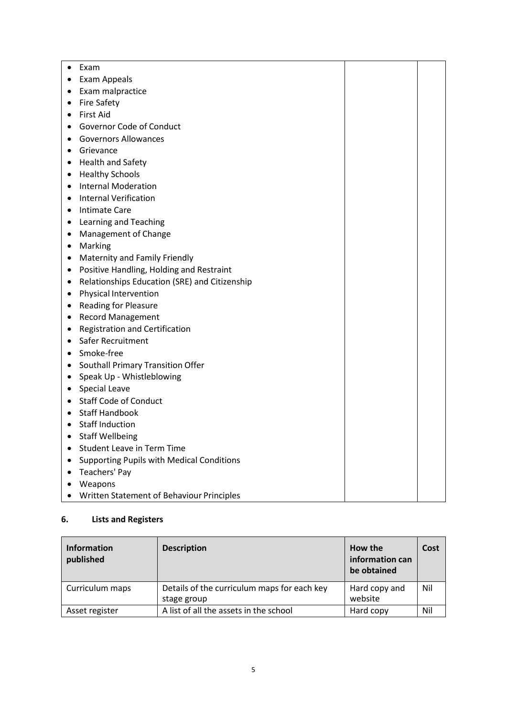| Exam<br>$\bullet$                                          |  |
|------------------------------------------------------------|--|
| Exam Appeals<br>٠                                          |  |
| Exam malpractice<br>٠                                      |  |
| <b>Fire Safety</b><br>$\bullet$                            |  |
| <b>First Aid</b><br>$\bullet$                              |  |
| Governor Code of Conduct<br>٠                              |  |
| <b>Governors Allowances</b><br>٠                           |  |
| Grievance<br>٠                                             |  |
| <b>Health and Safety</b><br>٠                              |  |
| <b>Healthy Schools</b><br>$\bullet$                        |  |
| <b>Internal Moderation</b><br>$\bullet$                    |  |
| <b>Internal Verification</b><br>$\bullet$                  |  |
| <b>Intimate Care</b><br>٠                                  |  |
| Learning and Teaching<br>٠                                 |  |
| Management of Change<br>٠                                  |  |
| Marking<br>$\bullet$                                       |  |
| <b>Maternity and Family Friendly</b><br>٠                  |  |
| Positive Handling, Holding and Restraint<br>٠              |  |
| Relationships Education (SRE) and Citizenship<br>$\bullet$ |  |
| Physical Intervention<br>٠                                 |  |
| <b>Reading for Pleasure</b><br>٠                           |  |
| <b>Record Management</b><br>٠                              |  |
| <b>Registration and Certification</b><br>٠                 |  |
| Safer Recruitment<br>$\bullet$                             |  |
| Smoke-free<br>$\bullet$                                    |  |
| Southall Primary Transition Offer<br>٠                     |  |
| Speak Up - Whistleblowing<br>٠                             |  |
| • Special Leave                                            |  |
| <b>Staff Code of Conduct</b><br>٠                          |  |
| <b>Staff Handbook</b><br>$\bullet$                         |  |
| <b>Staff Induction</b><br>$\bullet$                        |  |
| <b>Staff Wellbeing</b><br>٠                                |  |
| <b>Student Leave in Term Time</b>                          |  |
| <b>Supporting Pupils with Medical Conditions</b>           |  |
| Teachers' Pay                                              |  |
| Weapons                                                    |  |
| Written Statement of Behaviour Principles                  |  |

# **6. Lists and Registers**

| Information<br>published | <b>Description</b>                                         | How the<br>information can<br>be obtained | Cost |
|--------------------------|------------------------------------------------------------|-------------------------------------------|------|
| Curriculum maps          | Details of the curriculum maps for each key<br>stage group | Hard copy and<br>website                  | Nil  |
| Asset register           | A list of all the assets in the school                     | Hard copy                                 | Nil  |